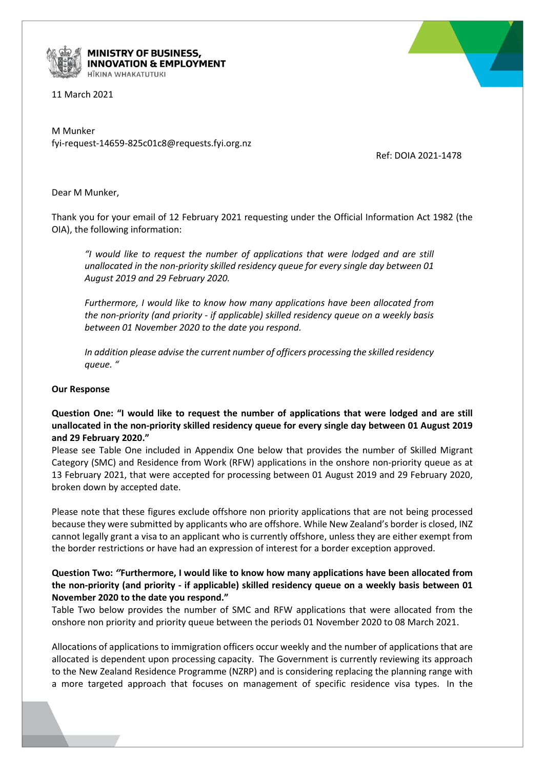

**MINISTRY OF BUSINESS, INNOVATION & EMPLOYMENT** HĪKINA WHAKATUTUKI

11 March 2021

M Munker fyi-request-14659-825c01c8@requests.fyi.org.nz

Ref: DOIA 2021-1478

Dear M Munker,

Thank you for your email of 12 February 2021 requesting under the Official Information Act 1982 (the OIA), the following information:

*"I would like to request the number of applications that were lodged and are still unallocated in the non-priority skilled residency queue for every single day between 01 August 2019 and 29 February 2020.*

*Furthermore, I would like to know how many applications have been allocated from the non-priority (and priority - if applicable) skilled residency queue on a weekly basis between 01 November 2020 to the date you respond.*

*In addition please advise the current number of officers processing the skilled residency queue. "*

## **Our Response**

**Question One: "I would like to request the number of applications that were lodged and are still unallocated in the non-priority skilled residency queue for every single day between 01 August 2019 and 29 February 2020."**

Please see Table One included in Appendix One below that provides the number of Skilled Migrant Category (SMC) and Residence from Work (RFW) applications in the onshore non-priority queue as at 13 February 2021, that were accepted for processing between 01 August 2019 and 29 February 2020, broken down by accepted date.

Please note that these figures exclude offshore non priority applications that are not being processed because they were submitted by applicants who are offshore. While New Zealand's border is closed, INZ cannot legally grant a visa to an applicant who is currently offshore, unless they are either exempt from the border restrictions or have had an expression of interest for a border exception approved.

## **Question Two:** *''***Furthermore, I would like to know how many applications have been allocated from the non-priority (and priority - if applicable) skilled residency queue on a weekly basis between 01 November 2020 to the date you respond."**

Table Two below provides the number of SMC and RFW applications that were allocated from the onshore non priority and priority queue between the periods 01 November 2020 to 08 March 2021.

Allocations of applications to immigration officers occur weekly and the number of applications that are allocated is dependent upon processing capacity. The Government is currently reviewing its approach to the New Zealand Residence Programme (NZRP) and is considering replacing the planning range with a more targeted approach that focuses on management of specific residence visa types. In the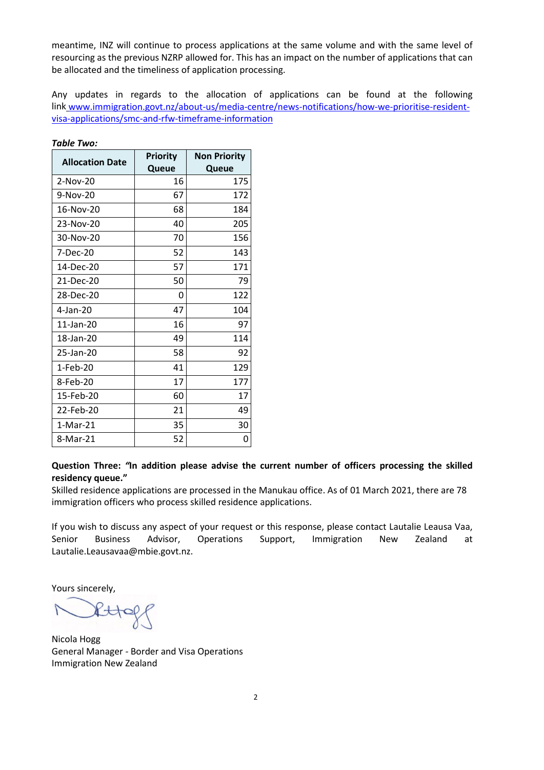meantime, INZ will continue to process applications at the same volume and with the same level of resourcing as the previous NZRP allowed for. This has an impact on the number of applications that can be allocated and the timeliness of application processing.

Any updates in regards to the allocation of applications can be found at the following link [www.immigration.govt.nz/about-us/media-centre/news-notifications/how-we-prioritise-resident](http://www.immigration.govt.nz/about-us/media-centre/news-notifications/how-we-prioritise-resident-visa-applications/smc-and-rfw-timeframe-information)[visa-applications/smc-and-rfw-timeframe-information](http://www.immigration.govt.nz/about-us/media-centre/news-notifications/how-we-prioritise-resident-visa-applications/smc-and-rfw-timeframe-information)

| <b>Allocation Date</b> | <b>Priority</b> | <b>Non Priority</b> |
|------------------------|-----------------|---------------------|
|                        | Queue           | Queue               |
| 2-Nov-20               | 16              | 175                 |
| 9-Nov-20               | 67              | 172                 |
| 16-Nov-20              | 68              | 184                 |
| 23-Nov-20              | 40              | 205                 |
| 30-Nov-20              | 70              | 156                 |
| 7-Dec-20               | 52              | 143                 |
| 14-Dec-20              | 57              | 171                 |
| 21-Dec-20              | 50              | 79                  |
| 28-Dec-20              | 0               | 122                 |
| 4-Jan-20               | 47              | 104                 |
| 11-Jan-20              | 16              | 97                  |
| 18-Jan-20              | 49              | 114                 |
| 25-Jan-20              | 58              | 92                  |
| 1-Feb-20               | 41              | 129                 |
| 8-Feb-20               | 17              | 177                 |
| 15-Feb-20              | 60              | 17                  |
| 22-Feb-20              | 21              | 49                  |
| 1-Mar-21               | 35              | 30                  |
| 8-Mar-21               | 52              | O                   |

*Table Two:*

## **Question Three:** *"***In addition please advise the current number of officers processing the skilled residency queue."**

Skilled residence applications are processed in the Manukau office. As of 01 March 2021, there are 78 immigration officers who process skilled residence applications.

If you wish to discuss any aspect of your request or this response, please contact Lautalie Leausa Vaa, Senior Business Advisor, Operations Support, Immigration New Zealand at [Lautalie.Leausavaa@mbie.govt.nz.](mailto:xxxxxxxx.xxxxxxxxx@xxxx.xxxx.xx)

Yours sincerely,

 $R + \n 6$ 

Nicola Hogg General Manager - Border and Visa Operations Immigration New Zealand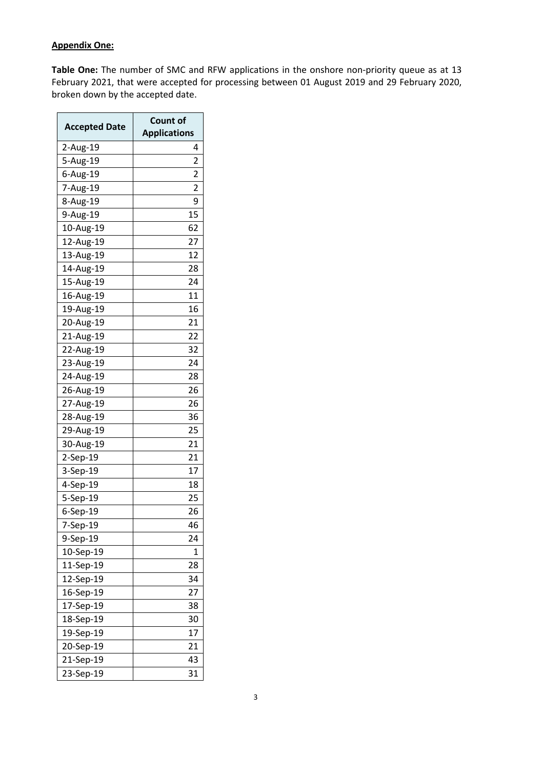## **Appendix One:**

**Table One:** The number of SMC and RFW applications in the onshore non-priority queue as at 13 February 2021, that were accepted for processing between 01 August 2019 and 29 February 2020, broken down by the accepted date.

| <b>Accepted Date</b> | <b>Count of</b><br><b>Applications</b> |
|----------------------|----------------------------------------|
| 2-Aug-19             | 4                                      |
| 5-Aug-19             | 2                                      |
| 6-Aug-19             | 2                                      |
| 7-Aug-19             | 2                                      |
| 8-Aug-19             | 9                                      |
| 9-Aug-19             | 15                                     |
| 10-Aug-19            | 62                                     |
| 12-Aug-19            | 27                                     |
| 13-Aug-19            | 12                                     |
| 14-Aug-19            | 28                                     |
| 15-Aug-19            | 24                                     |
| 16-Aug-19            | 11                                     |
| 19-Aug-19            | 16                                     |
| 20-Aug-19            | $\overline{21}$                        |
| 21-Aug-19            | 22                                     |
| 22-Aug-19            | 32                                     |
| 23-Aug-19            | 24                                     |
| 24-Aug-19            | 28                                     |
| 26-Aug-19            | 26                                     |
| 27-Aug-19            | 26                                     |
| 28-Aug-19            | 36                                     |
| 29-Aug-19            | 25                                     |
| 30-Aug-19            | 21                                     |
| 2-Sep-19             | 21                                     |
| 3-Sep-19             | 17                                     |
| 4-Sep-19             | 18                                     |
| 5-Sep-19             | 25                                     |
| 6-Sep-19             | 26                                     |
| 7-Sep-19             | 46                                     |
| 9-Sep-19             | 24                                     |
| 10-Sep-19            | 1                                      |
| 11-Sep-19            | 28                                     |
| 12-Sep-19            | 34                                     |
| 16-Sep-19            | 27                                     |
| 17-Sep-19            | 38                                     |
| 18-Sep-19            | 30                                     |
| 19-Sep-19            | 17                                     |
| 20-Sep-19            | 21                                     |
| 21-Sep-19            | 43                                     |
| 23-Sep-19            | 31                                     |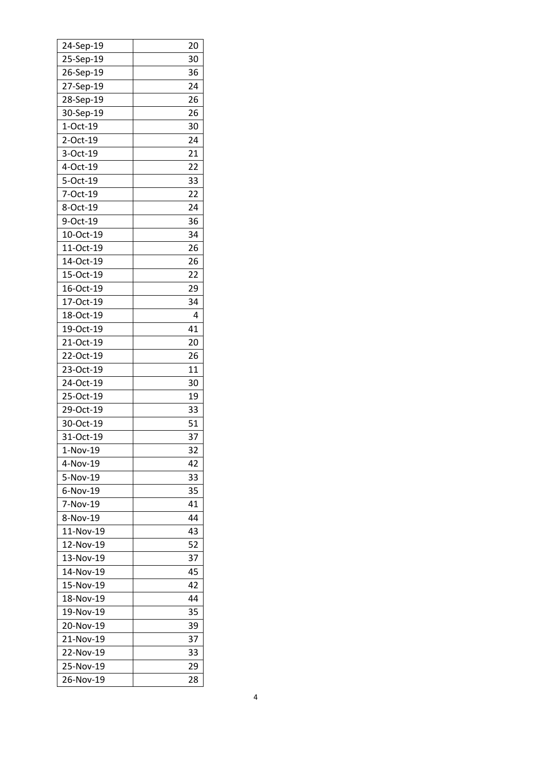| 24-Sep-19 | 20 |
|-----------|----|
| 25-Sep-19 | 30 |
| 26-Sep-19 | 36 |
| 27-Sep-19 | 24 |
| 28-Sep-19 | 26 |
| 30-Sep-19 | 26 |
| 1-Oct-19  | 30 |
| 2-Oct-19  | 24 |
| 3-Oct-19  | 21 |
| 4-Oct-19  | 22 |
| 5-Oct-19  | 33 |
| 7-Oct-19  | 22 |
| 8-Oct-19  | 24 |
| 9-Oct-19  | 36 |
| 10-Oct-19 | 34 |
| 11-Oct-19 | 26 |
| 14-Oct-19 | 26 |
| 15-Oct-19 | 22 |
| 16-Oct-19 | 29 |
| 17-Oct-19 | 34 |
| 18-Oct-19 | 4  |
| 19-Oct-19 | 41 |
| 21-Oct-19 | 20 |
| 22-Oct-19 | 26 |
| 23-Oct-19 | 11 |
| 24-Oct-19 | 30 |
| 25-Oct-19 | 19 |
| 29-Oct-19 | 33 |
| 30-Oct-19 | 51 |
| 31-Oct-19 | 37 |
| 1-NOV-19  | 32 |
| 4-Nov-19  | 42 |
| 5-Nov-19  | 33 |
| 6-Nov-19  | 35 |
| 7-Nov-19  | 41 |
| 8-Nov-19  | 44 |
| 11-Nov-19 | 43 |
| 12-Nov-19 |    |
| 13-Nov-19 | 52 |
|           | 37 |
| 14-Nov-19 | 45 |
| 15-Nov-19 | 42 |
| 18-Nov-19 | 44 |
| 19-Nov-19 | 35 |
| 20-Nov-19 | 39 |
| 21-Nov-19 | 37 |
| 22-Nov-19 | 33 |
| 25-Nov-19 | 29 |
| 26-Nov-19 | 28 |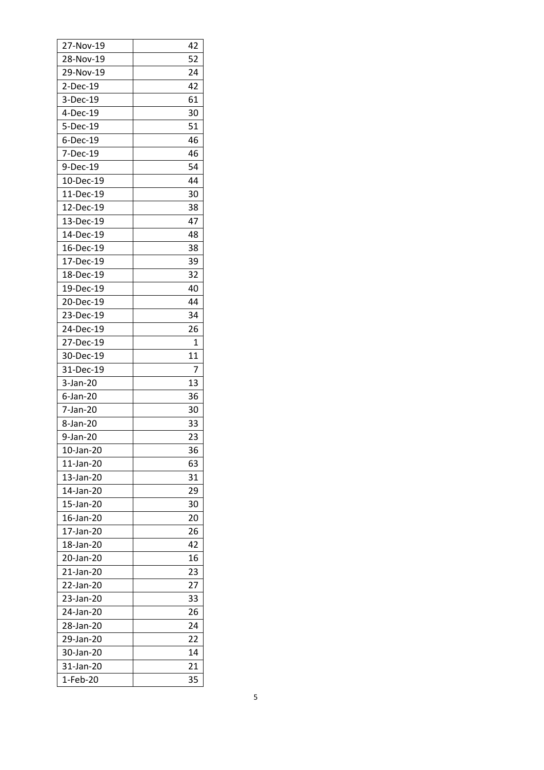| 27-Nov-19 | 42 |
|-----------|----|
| 28-Nov-19 | 52 |
| 29-Nov-19 | 24 |
| 2-Dec-19  | 42 |
| 3-Dec-19  | 61 |
| 4-Dec-19  | 30 |
| 5-Dec-19  | 51 |
| 6-Dec-19  | 46 |
| 7-Dec-19  | 46 |
| 9-Dec-19  | 54 |
| 10-Dec-19 | 44 |
| 11-Dec-19 | 30 |
| 12-Dec-19 | 38 |
| 13-Dec-19 | 47 |
| 14-Dec-19 | 48 |
| 16-Dec-19 | 38 |
| 17-Dec-19 | 39 |
| 18-Dec-19 | 32 |
| 19-Dec-19 | 40 |
| 20-Dec-19 | 44 |
| 23-Dec-19 | 34 |
| 24-Dec-19 | 26 |
| 27-Dec-19 | 1  |
| 30-Dec-19 | 11 |
| 31-Dec-19 | 7  |
| 3-Jan-20  | 13 |
| 6-Jan-20  | 36 |
| 7-Jan-20  | 30 |
| 8-Jan-20  | 33 |
| 9-Jan-20  | 23 |
| 10-Jan-20 | 36 |
| 11-Jan-20 | 63 |
| 13-Jan-20 | 31 |
| 14-Jan-20 | 29 |
| 15-Jan-20 | 30 |
| 16-Jan-20 | 20 |
| 17-Jan-20 | 26 |
| 18-Jan-20 | 42 |
| 20-Jan-20 | 16 |
| 21-Jan-20 | 23 |
| 22-Jan-20 | 27 |
| 23-Jan-20 | 33 |
| 24-Jan-20 | 26 |
| 28-Jan-20 | 24 |
| 29-Jan-20 | 22 |
| 30-Jan-20 | 14 |
| 31-Jan-20 | 21 |
| 1-Feb-20  | 35 |
|           |    |